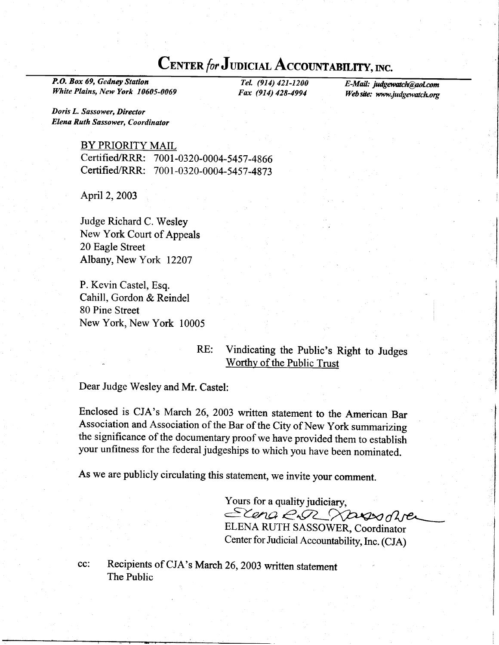## CENTER for JUDICIAL ACCOUNTABILITY, INC.

P.O. Box 69, Gedney Station Tel. (914) 421-1200 E-Mail: judgewatch@aol.com<br>
White Plains, New York 10605-0069 Fax (914) 428-4994 Web site: www.judgewatch.org

Doris L. Sassower, Director Elena Ruth Sassower, Coordinator

## BY PRIORITY MAIL

CertifiedlRRR: 7001-0320-0004-5457-4866 Certified/RRR: 7001-0320-0004-5457-4873

April 2,2003

Judge Richard C. Wesley New York Court of Appeals 20 Eagle Street Albany, New York 12207

P. Kevin Castel, Esq. Cahill, Gordon & Reindel 80 Pine Street New York, New York 10005

## RE: Vindicating the public's Right to Judges Worthy of the Public Trust

Dear Judge Wesley and Mr. Castel:

Enclosed is CJA's March 26, 2003 written statement to the American Bar Association and Association of the Bar of the City of New York summarizing the significance of the documentary proof we have provided them to establish your unfitness for the federal judgeships to which you have been nominated.

As we are publicly circulating this statement, we invite your comment.

Yours for a quality judiciary, Elena E.R. Nassoare ELENA RUTH SASSOWER, Coordinator

Center for Judicial Accountability, Inc. (CJA)

cc: Recipients of cJA's March 26,2003 written statement The Public